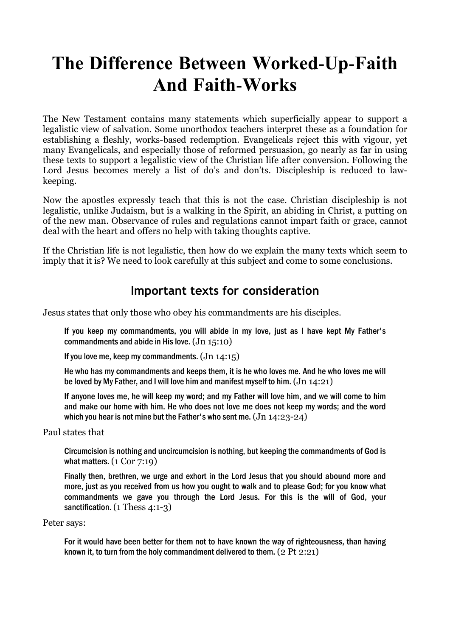# The Difference Between Worked-Up-Faith And Faith-Works

The New Testament contains many statements which superficially appear to support a legalistic view of salvation. Some unorthodox teachers interpret these as a foundation for establishing a fleshly, works-based redemption. Evangelicals reject this with vigour, yet many Evangelicals, and especially those of reformed persuasion, go nearly as far in using these texts to support a legalistic view of the Christian life after conversion. Following the Lord Jesus becomes merely a list of do's and don'ts. Discipleship is reduced to lawkeeping.

Now the apostles expressly teach that this is not the case. Christian discipleship is not legalistic, unlike Judaism, but is a walking in the Spirit, an abiding in Christ, a putting on of the new man. Observance of rules and regulations cannot impart faith or grace, cannot deal with the heart and offers no help with taking thoughts captive.

If the Christian life is not legalistic, then how do we explain the many texts which seem to imply that it is? We need to look carefully at this subject and come to some conclusions.

## Important texts for consideration

Jesus states that only those who obey his commandments are his disciples.

If you keep my commandments, you will abide in my love, just as I have kept My Father's commandments and abide in His love. (Jn 15:10)

If you love me, keep my commandments.  $(Jn 14:15)$ 

He who has my commandments and keeps them, it is he who loves me. And he who loves me will be loved by My Father, and I will love him and manifest myself to him.  $(Jn 14:21)$ 

If anyone loves me, he will keep my word; and my Father will love him, and we will come to him and make our home with him. He who does not love me does not keep my words; and the word which you hear is not mine but the Father's who sent me.  $(Jn 14:23-24)$ 

Paul states that

Circumcision is nothing and uncircumcision is nothing, but keeping the commandments of God is what matters.  $(1 \text{ Cor } 7:19)$ 

Finally then, brethren, we urge and exhort in the Lord Jesus that you should abound more and more, just as you received from us how you ought to walk and to please God; for you know what commandments we gave you through the Lord Jesus. For this is the will of God, your sanctification. (1 Thess 4:1-3)

Peter says:

For it would have been better for them not to have known the way of righteousness, than having known it, to turn from the holy commandment delivered to them.  $(2 \text{ Pt } 2:21)$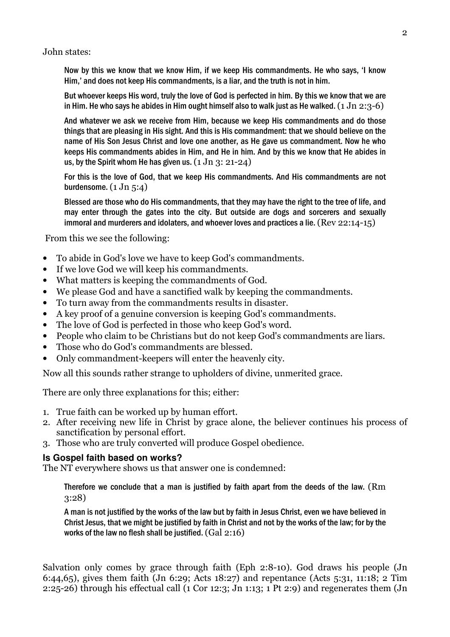John states:

Now by this we know that we know Him, if we keep His commandments. He who says, 'I know Him,' and does not keep His commandments, is a liar, and the truth is not in him.

But whoever keeps His word, truly the love of God is perfected in him. By this we know that we are in Him. He who says he abides in Him ought himself also to walk just as He walked.  $(1 \text{ Jn } 2:3-6)$ 

And whatever we ask we receive from Him, because we keep His commandments and do those things that are pleasing in His sight. And this is His commandment: that we should believe on the name of His Son Jesus Christ and love one another, as He gave us commandment. Now he who keeps His commandments abides in Him, and He in him. And by this we know that He abides in us, by the Spirit whom He has given us.  $(1 \text{ Jn } 3: 21-24)$ 

For this is the love of God, that we keep His commandments. And His commandments are not burdensome.  $(1 \text{ Jn } 5:4)$ 

Blessed are those who do His commandments, that they may have the right to the tree of life, and may enter through the gates into the city. But outside are dogs and sorcerers and sexually immoral and murderers and idolaters, and whoever loves and practices a lie. (Rev 22:14-15)

From this we see the following:

- To abide in God's love we have to keep God's commandments.
- If we love God we will keep his commandments.
- What matters is keeping the commandments of God.
- We please God and have a sanctified walk by keeping the commandments.
- To turn away from the commandments results in disaster.
- A key proof of a genuine conversion is keeping God's commandments.
- The love of God is perfected in those who keep God's word.
- People who claim to be Christians but do not keep God's commandments are liars.
- Those who do God's commandments are blessed.
- Only commandment-keepers will enter the heavenly city.

Now all this sounds rather strange to upholders of divine, unmerited grace.

There are only three explanations for this; either:

- 1. True faith can be worked up by human effort.
- 2. After receiving new life in Christ by grace alone, the believer continues his process of sanctification by personal effort.
- 3. Those who are truly converted will produce Gospel obedience.

#### **Is Gospel faith based on works?**

The NT everywhere shows us that answer one is condemned:

Therefore we conclude that a man is justified by faith apart from the deeds of the law. (Rm 3:28)

A man is not justified by the works of the law but by faith in Jesus Christ, even we have believed in Christ Jesus, that we might be justified by faith in Christ and not by the works of the law; for by the works of the law no flesh shall be justified. (Gal 2:16)

Salvation only comes by grace through faith (Eph 2:8-10). God draws his people (Jn 6:44,65), gives them faith (Jn 6:29; Acts 18:27) and repentance (Acts 5:31, 11:18; 2 Tim 2:25-26) through his effectual call (1 Cor 12:3; Jn 1:13; 1 Pt 2:9) and regenerates them (Jn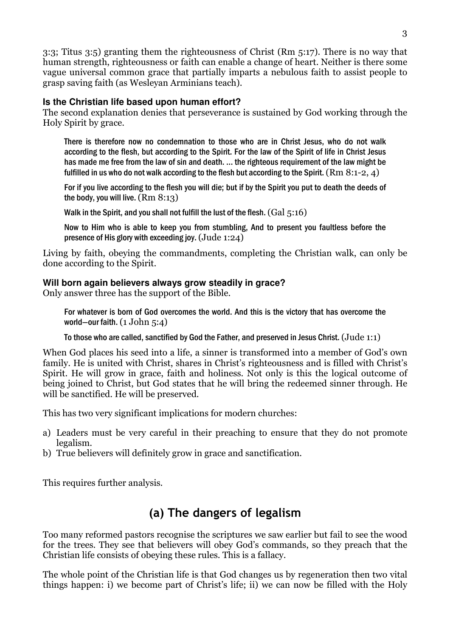3:3; Titus 3:5) granting them the righteousness of Christ (Rm 5:17). There is no way that human strength, righteousness or faith can enable a change of heart. Neither is there some vague universal common grace that partially imparts a nebulous faith to assist people to grasp saving faith (as Wesleyan Arminians teach).

### **Is the Christian life based upon human effort?**

The second explanation denies that perseverance is sustained by God working through the Holy Spirit by grace.

There is therefore now no condemnation to those who are in Christ Jesus, who do not walk according to the flesh, but according to the Spirit. For the law of the Spirit of life in Christ Jesus has made me free from the law of sin and death. ... the righteous requirement of the law might be fulfilled in us who do not walk according to the flesh but according to the Spirit.  $(Rm 8:1-2, 4)$ 

For if you live according to the flesh you will die; but if by the Spirit you put to death the deeds of the body, you will live.  $(Rm 8:13)$ 

Walk in the Spirit, and you shall not fulfill the lust of the flesh.  $(Gal 5:16)$ 

Now to Him who is able to keep you from stumbling, And to present you faultless before the presence of His glory with exceeding joy.  $(Jude 1:24)$ 

Living by faith, obeying the commandments, completing the Christian walk, can only be done according to the Spirit.

## **Will born again believers always grow steadily in grace?**

Only answer three has the support of the Bible.

For whatever is born of God overcomes the world. And this is the victory that has overcome the world-our faith.  $(1$  John  $5:4)$ 

To those who are called, sanctified by God the Father, and preserved in Jesus Christ. (Jude 1:1)

When God places his seed into a life, a sinner is transformed into a member of God's own family. He is united with Christ, shares in Christ's righteousness and is filled with Christ's Spirit. He will grow in grace, faith and holiness. Not only is this the logical outcome of being joined to Christ, but God states that he will bring the redeemed sinner through. He will be sanctified. He will be preserved.

This has two very significant implications for modern churches:

- a) Leaders must be very careful in their preaching to ensure that they do not promote legalism.
- b) True believers will definitely grow in grace and sanctification.

This requires further analysis.

# (a) The dangers of legalism

Too many reformed pastors recognise the scriptures we saw earlier but fail to see the wood for the trees. They see that believers will obey God's commands, so they preach that the Christian life consists of obeying these rules. This is a fallacy.

The whole point of the Christian life is that God changes us by regeneration then two vital things happen: i) we become part of Christ's life; ii) we can now be filled with the Holy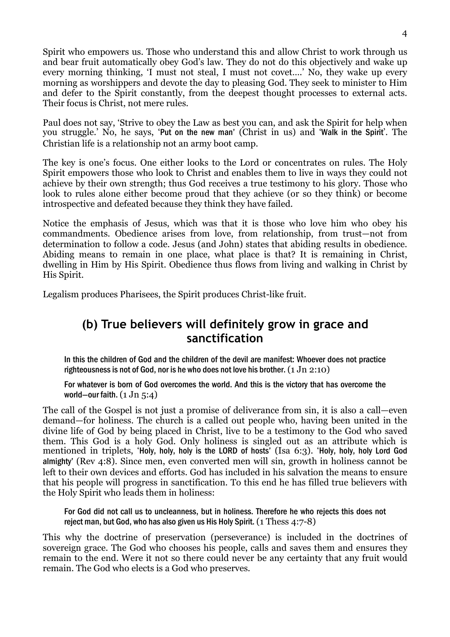Spirit who empowers us. Those who understand this and allow Christ to work through us and bear fruit automatically obey God's law. They do not do this objectively and wake up every morning thinking, 'I must not steal, I must not covet….' No, they wake up every morning as worshippers and devote the day to pleasing God. They seek to minister to Him and defer to the Spirit constantly, from the deepest thought processes to external acts. Their focus is Christ, not mere rules.

Paul does not say, 'Strive to obey the Law as best you can, and ask the Spirit for help when you struggle.' No, he says, 'Put on the new man' (Christ in us) and 'Walk in the Spirit'. The Christian life is a relationship not an army boot camp.

The key is one's focus. One either looks to the Lord or concentrates on rules. The Holy Spirit empowers those who look to Christ and enables them to live in ways they could not achieve by their own strength; thus God receives a true testimony to his glory. Those who look to rules alone either become proud that they achieve (or so they think) or become introspective and defeated because they think they have failed.

Notice the emphasis of Jesus, which was that it is those who love him who obey his commandments. Obedience arises from love, from relationship, from trust—not from determination to follow a code. Jesus (and John) states that abiding results in obedience. Abiding means to remain in one place, what place is that? It is remaining in Christ, dwelling in Him by His Spirit. Obedience thus flows from living and walking in Christ by His Spirit.

Legalism produces Pharisees, the Spirit produces Christ-like fruit.

## (b) True believers will definitely grow in grace and sanctification

In this the children of God and the children of the devil are manifest: Whoever does not practice righteousness is not of God, nor is he who does not love his brother.  $(1 \text{ Jn } 2:10)$ 

For whatever is born of God overcomes the world. And this is the victory that has overcome the world-our faith.  $(1 \text{ Jn } 5:4)$ 

The call of the Gospel is not just a promise of deliverance from sin, it is also a call—even demand—for holiness. The church is a called out people who, having been united in the divine life of God by being placed in Christ, live to be a testimony to the God who saved them. This God is a holy God. Only holiness is singled out as an attribute which is mentioned in triplets, 'Holy, holy, holy is the LORD of hosts' (Isa 6:3). 'Holy, holy, holy Lord God almighty' (Rev 4:8). Since men, even converted men will sin, growth in holiness cannot be left to their own devices and efforts. God has included in his salvation the means to ensure that his people will progress in sanctification. To this end he has filled true believers with the Holy Spirit who leads them in holiness:

For God did not call us to uncleanness, but in holiness. Therefore he who rejects this does not reject man, but God, who has also given us His Holy Spirit.  $(1 \text{ Thess } 4:7-8)$ 

This why the doctrine of preservation (perseverance) is included in the doctrines of sovereign grace. The God who chooses his people, calls and saves them and ensures they remain to the end. Were it not so there could never be any certainty that any fruit would remain. The God who elects is a God who preserves.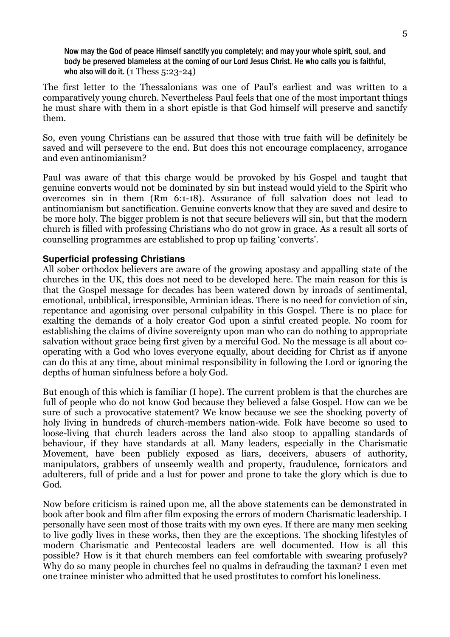Now may the God of peace Himself sanctify you completely; and may your whole spirit, soul, and body be preserved blameless at the coming of our Lord Jesus Christ. He who calls you is faithful, who also will do it.  $(1$  Thess  $5:23-24)$ 

The first letter to the Thessalonians was one of Paul's earliest and was written to a comparatively young church. Nevertheless Paul feels that one of the most important things he must share with them in a short epistle is that God himself will preserve and sanctify them.

So, even young Christians can be assured that those with true faith will be definitely be saved and will persevere to the end. But does this not encourage complacency, arrogance and even antinomianism?

Paul was aware of that this charge would be provoked by his Gospel and taught that genuine converts would not be dominated by sin but instead would yield to the Spirit who overcomes sin in them (Rm 6:1-18). Assurance of full salvation does not lead to antinomianism but sanctification. Genuine converts know that they are saved and desire to be more holy. The bigger problem is not that secure believers will sin, but that the modern church is filled with professing Christians who do not grow in grace. As a result all sorts of counselling programmes are established to prop up failing 'converts'.

#### **Superficial professing Christians**

All sober orthodox believers are aware of the growing apostasy and appalling state of the churches in the UK, this does not need to be developed here. The main reason for this is that the Gospel message for decades has been watered down by inroads of sentimental, emotional, unbiblical, irresponsible, Arminian ideas. There is no need for conviction of sin, repentance and agonising over personal culpability in this Gospel. There is no place for exalting the demands of a holy creator God upon a sinful created people. No room for establishing the claims of divine sovereignty upon man who can do nothing to appropriate salvation without grace being first given by a merciful God. No the message is all about cooperating with a God who loves everyone equally, about deciding for Christ as if anyone can do this at any time, about minimal responsibility in following the Lord or ignoring the depths of human sinfulness before a holy God.

But enough of this which is familiar (I hope). The current problem is that the churches are full of people who do not know God because they believed a false Gospel. How can we be sure of such a provocative statement? We know because we see the shocking poverty of holy living in hundreds of church-members nation-wide. Folk have become so used to loose-living that church leaders across the land also stoop to appalling standards of behaviour, if they have standards at all. Many leaders, especially in the Charismatic Movement, have been publicly exposed as liars, deceivers, abusers of authority, manipulators, grabbers of unseemly wealth and property, fraudulence, fornicators and adulterers, full of pride and a lust for power and prone to take the glory which is due to God.

Now before criticism is rained upon me, all the above statements can be demonstrated in book after book and film after film exposing the errors of modern Charismatic leadership. I personally have seen most of those traits with my own eyes. If there are many men seeking to live godly lives in these works, then they are the exceptions. The shocking lifestyles of modern Charismatic and Pentecostal leaders are well documented. How is all this possible? How is it that church members can feel comfortable with swearing profusely? Why do so many people in churches feel no qualms in defrauding the taxman? I even met one trainee minister who admitted that he used prostitutes to comfort his loneliness.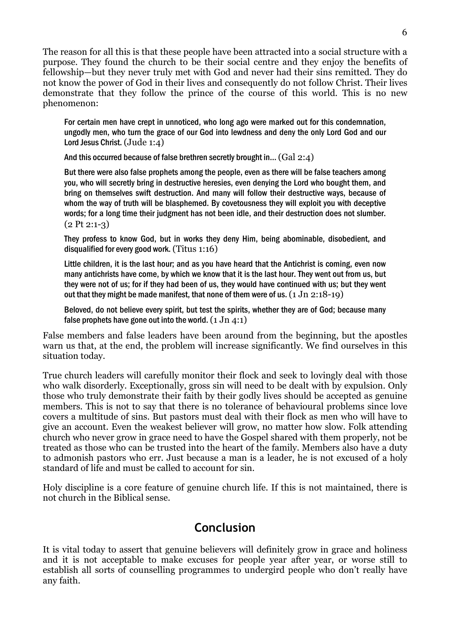The reason for all this is that these people have been attracted into a social structure with a purpose. They found the church to be their social centre and they enjoy the benefits of fellowship—but they never truly met with God and never had their sins remitted. They do not know the power of God in their lives and consequently do not follow Christ. Their lives demonstrate that they follow the prince of the course of this world. This is no new phenomenon:

For certain men have crept in unnoticed, who long ago were marked out for this condemnation, ungodly men, who turn the grace of our God into lewdness and deny the only Lord God and our Lord Jesus Christ. (Jude 1:4)

And this occurred because of false brethren secretly brought in... (Gal 2:4)

But there were also false prophets among the people, even as there will be false teachers among you, who will secretly bring in destructive heresies, even denying the Lord who bought them, and bring on themselves swift destruction. And many will follow their destructive ways, because of whom the way of truth will be blasphemed. By covetousness they will exploit you with deceptive words; for a long time their judgment has not been idle, and their destruction does not slumber.  $(2$  Pt  $2:1-3)$ 

They profess to know God, but in works they deny Him, being abominable, disobedient, and disqualified for every good work. (Titus 1:16)

Little children, it is the last hour; and as you have heard that the Antichrist is coming, even now many antichrists have come, by which we know that it is the last hour. They went out from us, but they were not of us; for if they had been of us, they would have continued with us; but they went out that they might be made manifest, that none of them were of us.  $(1 \text{ Jn } 2:18-19)$ 

Beloved, do not believe every spirit, but test the spirits, whether they are of God; because many false prophets have gone out into the world.  $(1 \text{ Jn } 4:1)$ 

False members and false leaders have been around from the beginning, but the apostles warn us that, at the end, the problem will increase significantly. We find ourselves in this situation today.

True church leaders will carefully monitor their flock and seek to lovingly deal with those who walk disorderly. Exceptionally, gross sin will need to be dealt with by expulsion. Only those who truly demonstrate their faith by their godly lives should be accepted as genuine members. This is not to say that there is no tolerance of behavioural problems since love covers a multitude of sins. But pastors must deal with their flock as men who will have to give an account. Even the weakest believer will grow, no matter how slow. Folk attending church who never grow in grace need to have the Gospel shared with them properly, not be treated as those who can be trusted into the heart of the family. Members also have a duty to admonish pastors who err. Just because a man is a leader, he is not excused of a holy standard of life and must be called to account for sin.

Holy discipline is a core feature of genuine church life. If this is not maintained, there is not church in the Biblical sense.

## Conclusion

It is vital today to assert that genuine believers will definitely grow in grace and holiness and it is not acceptable to make excuses for people year after year, or worse still to establish all sorts of counselling programmes to undergird people who don't really have any faith.